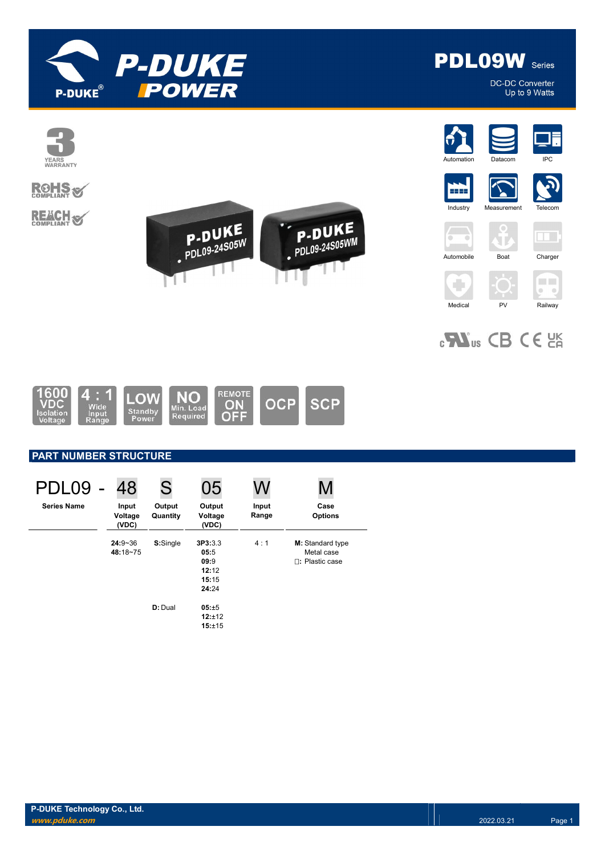



DC-DC Converter Up to 9 Watts



# **ROHS**

**REACH S** 



















 $_{c}$ Nus CB CE  $_{c}$ 



# PART NUMBER STRUCTURE

| PDL09              | 48                        | S                  | 05                                                 | W              | M                                                 |
|--------------------|---------------------------|--------------------|----------------------------------------------------|----------------|---------------------------------------------------|
| <b>Series Name</b> | Input<br>Voltage<br>(VDC) | Output<br>Quantity | Output<br>Voltage<br>(VDC)                         | Input<br>Range | Case<br><b>Options</b>                            |
|                    | $24:9 - 36$<br>48:18~75   | S:Single           | 3P3:3.3<br>05:5<br>09:9<br>12:12<br>15:15<br>24:24 | 4:1            | M: Standard type<br>Metal case<br>П: Plastic case |
|                    |                           | D: Dual            | 05:±5<br>12:±12<br>15:±15                          |                |                                                   |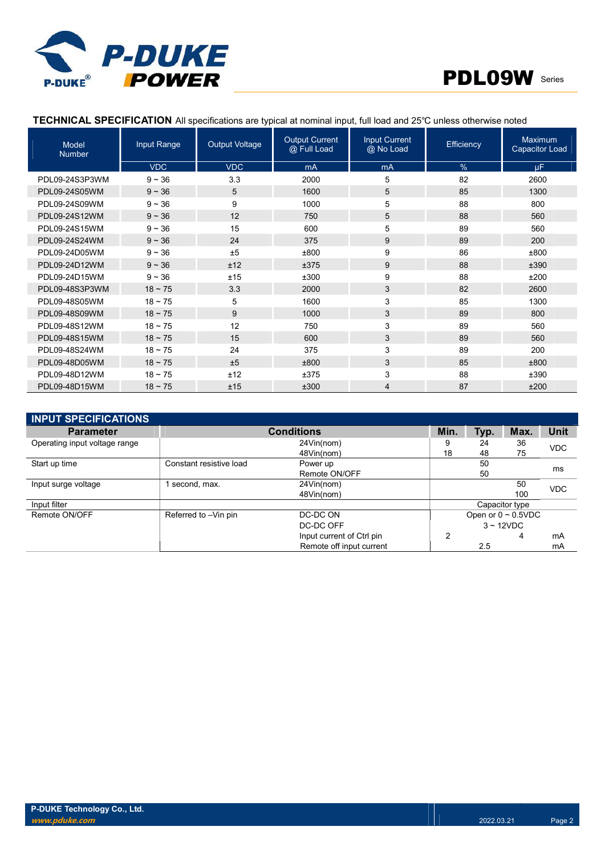



# TECHNICAL SPECIFICATION All specifications are typical at nominal input, full load and 25℃ unless otherwise noted

| <b>Model</b><br><b>Number</b> | Input Range  | <b>Output Voltage</b> | <b>Output Current</b><br>@ Full Load | <b>Input Current</b><br>@ No Load | Efficiency | <b>Maximum</b><br><b>Capacitor Load</b> |
|-------------------------------|--------------|-----------------------|--------------------------------------|-----------------------------------|------------|-----------------------------------------|
|                               | <b>VDC</b>   | <b>VDC</b>            | mA                                   | mA                                | %          | <b>uF</b>                               |
| PDL09-24S3P3WM                | $9 - 36$     | 3.3                   | 2000                                 | 5                                 | 82         | 2600                                    |
| PDL09-24S05WM                 | $9 - 36$     | 5                     | 1600                                 | 5                                 | 85         | 1300                                    |
| PDL09-24S09WM                 | $9 - 36$     | 9                     | 1000                                 | 5                                 | 88         | 800                                     |
| PDL09-24S12WM                 | $9 - 36$     | 12                    | 750                                  | 5                                 | 88         | 560                                     |
| PDL09-24S15WM                 | $9 - 36$     | 15                    | 600                                  | 5                                 | 89         | 560                                     |
| PDL09-24S24WM                 | $9 - 36$     | 24                    | 375                                  | 9                                 | 89         | 200                                     |
| PDL09-24D05WM                 | $9 - 36$     | ±5                    | ±800                                 | 9                                 | 86         | ±800                                    |
| PDL09-24D12WM                 | $9 - 36$     | ±12                   | ±375                                 | 9                                 | 88         | ±390                                    |
| PDL09-24D15WM                 | $9 - 36$     | ±15                   | ±300                                 | 9                                 | 88         | ±200                                    |
| PDL09-48S3P3WM                | $18 \sim 75$ | 3.3                   | 2000                                 | 3                                 | 82         | 2600                                    |
| PDL09-48S05WM                 | $18 - 75$    | 5                     | 1600                                 | 3                                 | 85         | 1300                                    |
| PDL09-48S09WM                 | $18 \sim 75$ | 9                     | 1000                                 | 3                                 | 89         | 800                                     |
| PDL09-48S12WM                 | $18 - 75$    | 12                    | 750                                  | 3                                 | 89         | 560                                     |
| PDL09-48S15WM                 | $18 \sim 75$ | 15                    | 600                                  | 3                                 | 89         | 560                                     |
| PDL09-48S24WM                 | $18 - 75$    | 24                    | 375                                  | 3                                 | 89         | 200                                     |
| PDL09-48D05WM                 | $18 \sim 75$ | ±5                    | ±800                                 | 3                                 | 85         | ±800                                    |
| PDL09-48D12WM                 | $18 - 75$    | ±12                   | ±375                                 | 3                                 | 88         | ±390                                    |
| PDL09-48D15WM                 | $18 \sim 75$ | ±15                   | ±300                                 | 4                                 | 87         | ±200                                    |

| <b>INPUT SPECIFICATIONS</b>   |                         |                           |      |      |                          |             |
|-------------------------------|-------------------------|---------------------------|------|------|--------------------------|-------------|
| <b>Parameter</b>              |                         | <b>Conditions</b>         | Min. | Typ. | Max.                     | <b>Unit</b> |
| Operating input voltage range |                         | 24Vin(nom)                |      | 24   | 36                       | <b>VDC</b>  |
|                               |                         | 48Vin(nom)                | 18   | 48   | 75                       |             |
| Start up time                 | Constant resistive load | Power up                  |      | 50   |                          |             |
|                               |                         | Remote ON/OFF             |      | 50   |                          | ms          |
| Input surge voltage           | second, max.            | 24Vin(nom)                |      |      | 50                       | <b>VDC</b>  |
|                               |                         | 48Vin(nom)                |      |      | 100                      |             |
| Input filter                  |                         |                           |      |      | Capacitor type           |             |
| Remote ON/OFF                 | Referred to -Vin pin    | DC-DC ON                  |      |      | Open or $0 \sim 0.5$ VDC |             |
|                               |                         | DC-DC OFF                 |      |      | $3 \sim 12$ VDC          |             |
|                               |                         | Input current of Ctrl pin | 2    |      | 4                        | mA          |
|                               |                         | Remote off input current  |      | 2.5  |                          | mA          |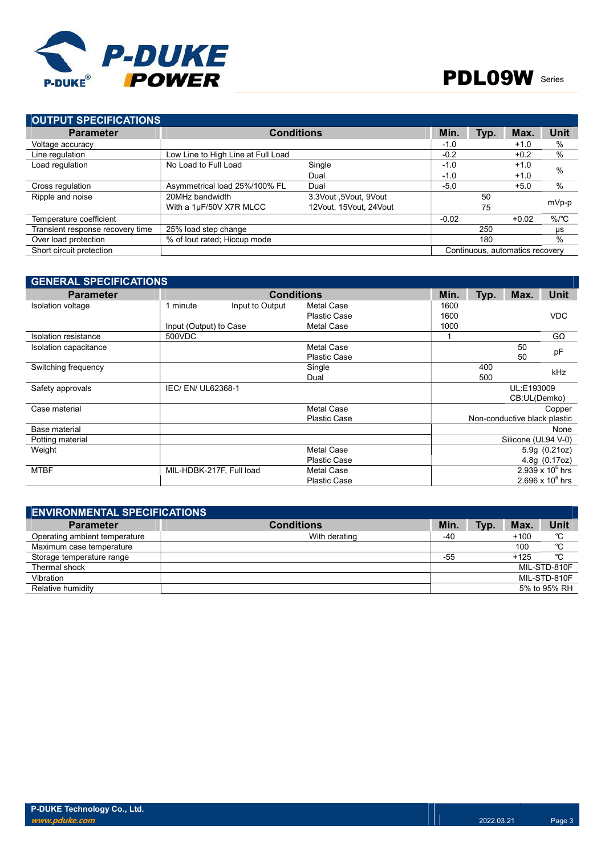

| <b>OUTPUT SPECIFICATIONS</b>       |                        |                   |      |         |                                 |
|------------------------------------|------------------------|-------------------|------|---------|---------------------------------|
|                                    |                        | Min.              | Typ. | Max.    | Unit                            |
|                                    |                        | $-1.0$            |      | $+1.0$  | $\%$                            |
| Low Line to High Line at Full Load |                        | $-0.2$            |      | $+0.2$  | $\%$                            |
| No Load to Full Load               | Single                 | $-1.0$            |      | $+1.0$  | $\frac{0}{0}$                   |
|                                    | Dual                   | $-1.0$            |      | $+1.0$  |                                 |
| Asymmetrical load 25%/100% FL      | Dual                   | $-5.0$            |      | $+5.0$  | %                               |
| 20MHz bandwidth                    | 3.3Vout, 9Vout         |                   | 50   |         |                                 |
| With a 1µF/50V X7R MLCC            | 12Vout, 15Vout, 24Vout |                   | 75   |         | mVp-p                           |
|                                    |                        | $-0.02$           |      | $+0.02$ | %/°C                            |
| 25% load step change               |                        |                   | 250  |         | μs                              |
| % of lout rated; Hiccup mode       |                        |                   | 180  |         | %                               |
|                                    |                        |                   |      |         |                                 |
|                                    |                        | <b>Conditions</b> |      |         | Continuous, automatics recovery |

### GENERAL SPECIFICATIONS Parameter **Conditions** Conditions Min. Typ. Max. Unit Conditions Min. Typ. Max. Unit Voltage 1600 Isolation voltage 1 minute Plastic Case 1600 VDC Input (Output) to Case Metal Case Metal Case 1000 Isolation resistance 500VDC 500VDC 1 GΩ Isolation capacitance Metal Case 50 pF<br>Plastic Case Plastic Case Switching frequency Single 400 kHz Dual 500 Safety approvals **IEC/ EN/ UL62368-1 IEC/ EN/ UL62368-1 UL:E193009** CB:UL(Demko)  $\sf C$ ase material  $\sf C$ opper Plastic Case Non-conductive black plastic Base material None Potting material Silicone (UL94 V-0) Weight Metal Case 5.9g (0.21oz) Plastic Case 4.8g (0.17oz) MTBF MIL-HDBK-217F, Full load Metal Case  $2.939 \times 10^6$  hrs Plastic Case  $2.696 \times 10^6$  hrs

| <b>ENVIRONMENTAL SPECIFICATIONS</b> |                   |      |      |        |              |
|-------------------------------------|-------------------|------|------|--------|--------------|
| <b>Parameter</b>                    | <b>Conditions</b> | Min. | Typ. | Max.   | Unit         |
| Operating ambient temperature       | With derating     | -40  |      | $+100$ | °C           |
| Maximum case temperature            |                   |      |      | 100    | °C           |
| Storage temperature range           |                   | -55  |      | $+125$ | °C           |
| Thermal shock                       |                   |      |      |        | MIL-STD-810F |
| Vibration                           |                   |      |      |        | MIL-STD-810F |
| Relative humidity                   |                   |      |      |        | 5% to 95% RH |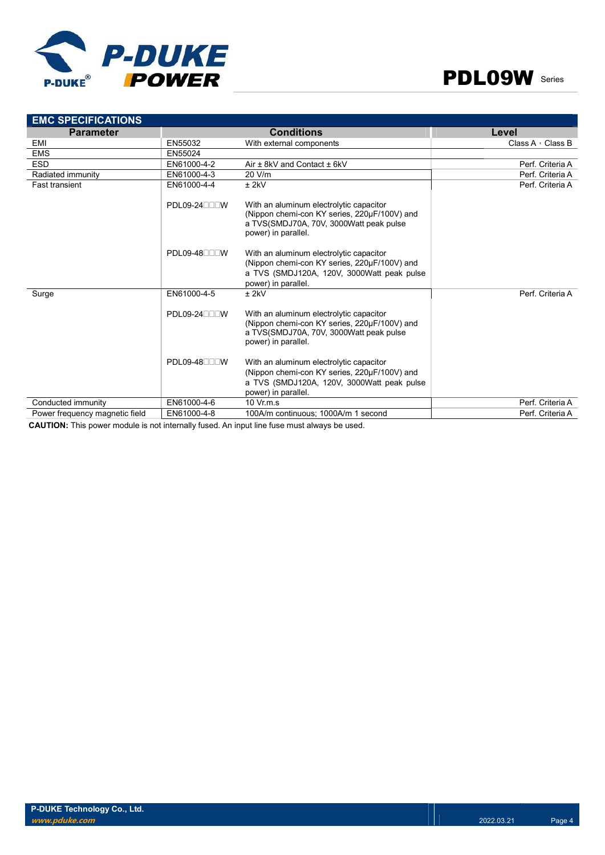



| <b>EMC SPECIFICATIONS</b>      |                           |                                                                                                                                                              |                         |
|--------------------------------|---------------------------|--------------------------------------------------------------------------------------------------------------------------------------------------------------|-------------------------|
| <b>Parameter</b>               |                           | <b>Conditions</b>                                                                                                                                            | Level                   |
| EMI                            | EN55032                   | With external components                                                                                                                                     | Class A $\cdot$ Class B |
| <b>EMS</b>                     | EN55024                   |                                                                                                                                                              |                         |
| <b>ESD</b>                     | EN61000-4-2               | Air $\pm$ 8kV and Contact $\pm$ 6kV                                                                                                                          | Perf. Criteria A        |
| Radiated immunity              | EN61000-4-3               | 20 V/m                                                                                                                                                       | Perf. Criteria A        |
| <b>Fast transient</b>          | EN61000-4-4               | $±$ 2kV                                                                                                                                                      | Perf. Criteria A        |
|                                | PDL09-24 <sub>UU</sub> UW | With an aluminum electrolytic capacitor<br>(Nippon chemi-con KY series, 220µF/100V) and<br>a TVS(SMDJ70A, 70V, 3000Watt peak pulse<br>power) in parallel.    |                         |
|                                | PDL09-48 <sub>0</sub>     | With an aluminum electrolytic capacitor<br>(Nippon chemi-con KY series, 220µF/100V) and<br>a TVS (SMDJ120A, 120V, 3000Watt peak pulse<br>power) in parallel. |                         |
| Surge                          | EN61000-4-5               | $±$ 2kV                                                                                                                                                      | Perf. Criteria A        |
|                                | PDL09-24 <sub>UU</sub> UW | With an aluminum electrolytic capacitor<br>(Nippon chemi-con KY series, 220µF/100V) and<br>a TVS(SMDJ70A, 70V, 3000Watt peak pulse<br>power) in parallel.    |                         |
|                                | PDL09-48 <sub>UU</sub> UW | With an aluminum electrolytic capacitor<br>(Nippon chemi-con KY series, 220µF/100V) and<br>a TVS (SMDJ120A, 120V, 3000Watt peak pulse<br>power) in parallel. |                         |
| Conducted immunity             | EN61000-4-6               | $10 \text{ Vr} \text{m} \text{ s}$                                                                                                                           | Perf. Criteria A        |
| Power frequency magnetic field | EN61000-4-8               | 100A/m continuous: 1000A/m 1 second                                                                                                                          | Perf. Criteria A        |

CAUTION: This power module is not internally fused. An input line fuse must always be used.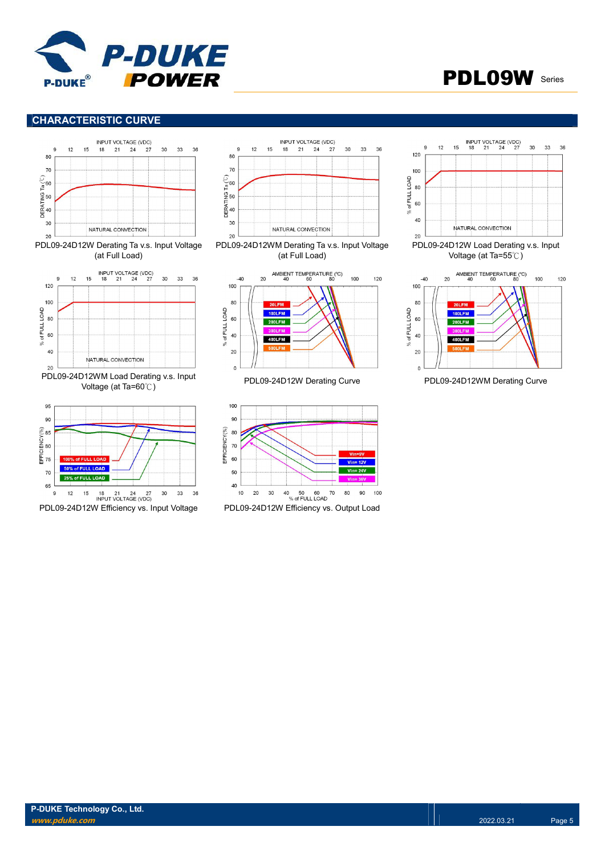



# CHARACTERISTIC CURVE



65  $12$ 18 21 24 27<br>INPUT VOLTAGE (VDC) 36 9 15 30 33









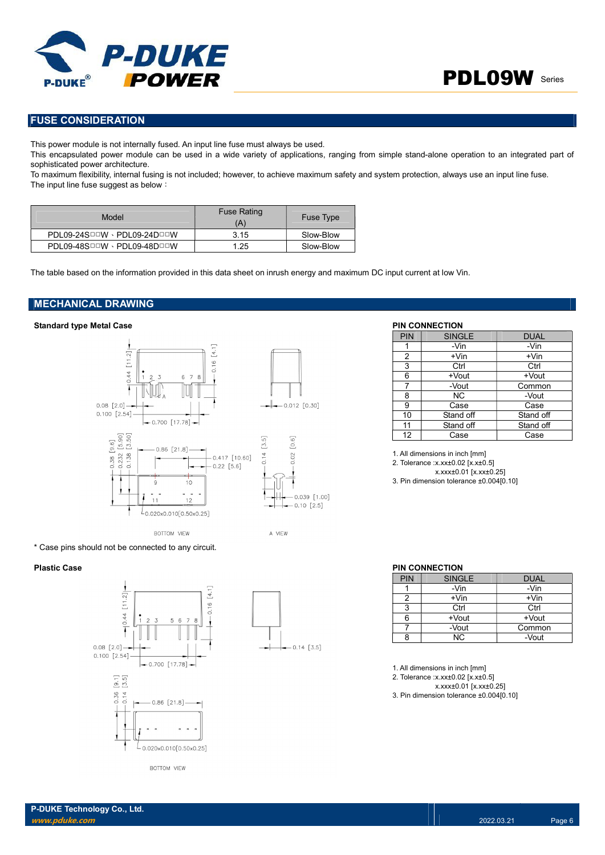

# FUSE CONSIDERATION

This power module is not internally fused. An input line fuse must always be used.

This encapsulated power module can be used in a wide variety of applications, ranging from simple stand-alone operation to an integrated part of sophisticated power architecture.

To maximum flexibility, internal fusing is not included; however, to achieve maximum safety and system protection, always use an input line fuse. The input line fuse suggest as below:

| Model                                               | <b>Fuse Rating</b><br>(A) | <b>Fuse Type</b> |
|-----------------------------------------------------|---------------------------|------------------|
| $PDL09-24S^{\Box\Box}W \cdot PDL09-24D^{\Box\Box}W$ | 3.15                      | Slow-Blow        |
| PDL09-48SOOW · PDL09-48DOOW                         | 1.25                      | Slow-Blow        |

The table based on the information provided in this data sheet on inrush energy and maximum DC input current at low Vin.

# MECHANICAL DRAWING

# Standard type Metal Case **PIN CONNECTION**



\* Case pins should not be connected to any circuit.





| PIN | <b>SINGLE</b> | <b>DUAL</b> |
|-----|---------------|-------------|
|     | -Vin          | -Vin        |
| 2   | $+V$ in       | +Vin        |
| 3   | Ctrl          | Ctrl        |
| 6   | +Vout         | +Vout       |
| 7   | -Vout         | Common      |
| 8   | NC.           | -Vout       |
| 9   | Case          | Case        |
| 10  | Stand off     | Stand off   |
| 11  | Stand off     | Stand off   |
| 12  | Case          | Case        |

1. All dimensions in inch [mm] 2. Tolerance :x.xx±0.02 [x.x±0.5] x.xxx±0.01 [x.xx±0.25]

3. Pin dimension tolerance ±0.004[0.10]

### Plastic Case **PIN CONNECTION**

| <b>PIN</b> | <b>SINGLE</b> | <b>DUAL</b> |
|------------|---------------|-------------|
|            | -Vin          | -Vin        |
|            | $+V$ in       | $+V$ in     |
| વ          | Ctrl          | Ctrl        |
|            | +Vout         | +Vout       |
|            | -Vout         | Common      |
|            | ΝC            | -Vout       |

1. All dimensions in inch [mm]

2. Tolerance :x.xx±0.02 [x.x±0.5]

x.xxx±0.01 [x.xx±0.25] 3. Pin dimension tolerance ±0.004[0.10]